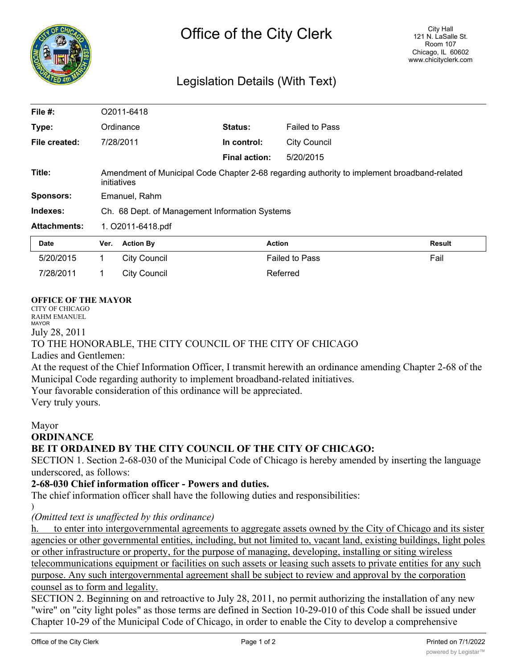

# Legislation Details (With Text)

| File #:             |                                                                                                            | O2011-6418          |                      |                       |        |
|---------------------|------------------------------------------------------------------------------------------------------------|---------------------|----------------------|-----------------------|--------|
| Type:               |                                                                                                            | Ordinance           | Status:              | <b>Failed to Pass</b> |        |
| File created:       | 7/28/2011                                                                                                  |                     | In control:          | <b>City Council</b>   |        |
|                     |                                                                                                            |                     | <b>Final action:</b> | 5/20/2015             |        |
| Title:              | Amendment of Municipal Code Chapter 2-68 regarding authority to implement broadband-related<br>initiatives |                     |                      |                       |        |
| <b>Sponsors:</b>    | Emanuel, Rahm                                                                                              |                     |                      |                       |        |
| Indexes:            | Ch. 68 Dept. of Management Information Systems                                                             |                     |                      |                       |        |
| <b>Attachments:</b> | 1. O2011-6418.pdf                                                                                          |                     |                      |                       |        |
| Date                | Ver.                                                                                                       | <b>Action By</b>    | <b>Action</b>        |                       | Result |
| 5/20/2015           | 1                                                                                                          | <b>City Council</b> |                      | <b>Failed to Pass</b> | Fail   |
| 7/28/2011           |                                                                                                            | <b>City Council</b> |                      | Referred              |        |

#### **OFFICE OF THE MAYOR**

CITY OF CHICAGO RAHM EMANUEL MAYOR July 28, 2011 TO THE HONORABLE, THE CITY COUNCIL OF THE CITY OF CHICAGO Ladies and Gentlemen: At the request of the Chief Information Officer, I transmit herewith an ordinance amending Chapter 2-68 of the Municipal Code regarding authority to implement broadband-related initiatives.

Your favorable consideration of this ordinance will be appreciated.

Very truly yours.

#### Mayor

#### **ORDINANCE**

## **BE IT ORDAINED BY THE CITY COUNCIL OF THE CITY OF CHICAGO:**

SECTION 1. Section 2-68-030 of the Municipal Code of Chicago is hereby amended by inserting the language underscored, as follows:

### **2-68-030 Chief information officer - Powers and duties.**

The chief information officer shall have the following duties and responsibilities:

)

*(Omitted text is unaffected by this ordinance)*

to enter into intergovernmental agreements to aggregate assets owned by the City of Chicago and its sister agencies or other governmental entities, including, but not limited to, vacant land, existing buildings, light poles or other infrastructure or property, for the purpose of managing, developing, installing or siting wireless telecommunications equipment or facilities on such assets or leasing such assets to private entities for any such purpose. Any such intergovernmental agreement shall be subject to review and approval by the corporation counsel as to form and legality.

SECTION 2. Beginning on and retroactive to July 28, 2011, no permit authorizing the installation of any new "wire" on "city light poles" as those terms are defined in Section 10-29-010 of this Code shall be issued under Chapter 10-29 of the Municipal Code of Chicago, in order to enable the City to develop a comprehensive